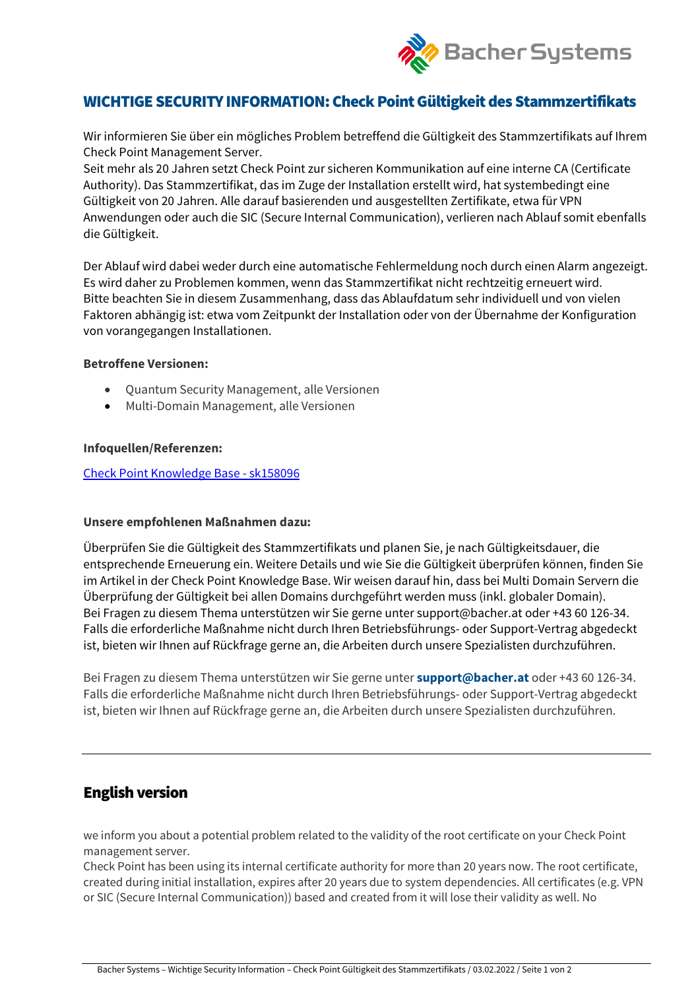

# WICHTIGE SECURITY INFORMATION: Check Point Gültigkeit des Stammzertifikats

Wir informieren Sie über ein mögliches Problem betreffend die Gültigkeit des Stammzertifikats auf Ihrem Check Point Management Server.

Seit mehr als 20 Jahren setzt Check Point zur sicheren Kommunikation auf eine interne CA (Certificate Authority). Das Stammzertifikat, das im Zuge der Installation erstellt wird, hat systembedingt eine Gültigkeit von 20 Jahren. Alle darauf basierenden und ausgestellten Zertifikate, etwa für VPN Anwendungen oder auch die SIC (Secure Internal Communication), verlieren nach Ablauf somit ebenfalls die Gültigkeit.

Der Ablauf wird dabei weder durch eine automatische Fehlermeldung noch durch einen Alarm angezeigt. Es wird daher zu Problemen kommen, wenn das Stammzertifikat nicht rechtzeitig erneuert wird. Bitte beachten Sie in diesem Zusammenhang, dass das Ablaufdatum sehr individuell und von vielen Faktoren abhängig ist: etwa vom Zeitpunkt der Installation oder von der Übernahme der Konfiguration von vorangegangen Installationen.

### **Betroffene Versionen:**

- Quantum Security Management, alle Versionen
- Multi-Domain Management, alle Versionen

### **Infoquellen/Referenzen:**

### [Check Point Knowledge Base -](https://supportcenter.checkpoint.com/supportcenter/portal?eventSubmit_doGoviewsolutiondetails=&solutionid=sk158096) sk158096

### **Unsere empfohlenen Maßnahmen dazu:**

Überprüfen Sie die Gültigkeit des Stammzertifikats und planen Sie, je nach Gültigkeitsdauer, die entsprechende Erneuerung ein. Weitere Details und wie Sie die Gültigkeit überprüfen können, finden Sie im Artikel in der Check Point Knowledge Base. Wir weisen darauf hin, dass bei Multi Domain Servern die Überprüfung der Gültigkeit bei allen Domains durchgeführt werden muss (inkl. globaler Domain). Bei Fragen zu diesem Thema unterstützen wir Sie gerne unter support@bacher.at oder +43 60 126-34. Falls die erforderliche Maßnahme nicht durch Ihren Betriebsführungs- oder Support-Vertrag abgedeckt ist, bieten wir Ihnen auf Rückfrage gerne an, die Arbeiten durch unsere Spezialisten durchzuführen.

Bei Fragen zu diesem Thema unterstützen wir Sie gerne unter **[support@bacher.at](https://cdn.mlwrx.com/sys/r.aspx?sub=1188_00000&t=t&link=n4O5)** oder +43 60 126-34. Falls die erforderliche Maßnahme nicht durch Ihren Betriebsführungs- oder Support-Vertrag abgedeckt ist, bieten wir Ihnen auf Rückfrage gerne an, die Arbeiten durch unsere Spezialisten durchzuführen.

## English version

we inform you about a potential problem related to the validity of the root certificate on your Check Point management server.

Check Point has been using its internal certificate authority for more than 20 years now. The root certificate, created during initial installation, expires after 20 years due to system dependencies. All certificates (e.g. VPN or SIC (Secure Internal Communication)) based and created from it will lose their validity as well. No